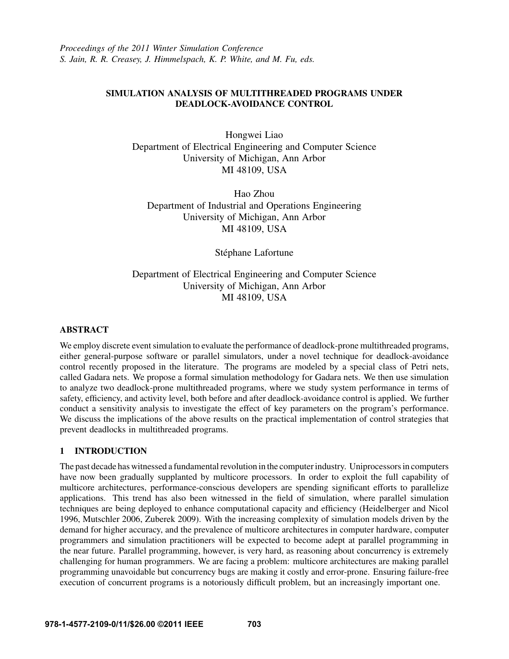*Proceedings of the 2011 Winter Simulation Conference S. Jain, R. R. Creasey, J. Himmelspach, K. P. White, and M. Fu, eds.*

# SIMULATION ANALYSIS OF MULTITHREADED PROGRAMS UNDER DEADLOCK-AVOIDANCE CONTROL

Hongwei Liao Department of Electrical Engineering and Computer Science University of Michigan, Ann Arbor MI 48109, USA

Hao Zhou Department of Industrial and Operations Engineering University of Michigan, Ann Arbor MI 48109, USA

Stéphane Lafortune

# Department of Electrical Engineering and Computer Science University of Michigan, Ann Arbor MI 48109, USA

# ABSTRACT

We employ discrete event simulation to evaluate the performance of deadlock-prone multithreaded programs, either general-purpose software or parallel simulators, under a novel technique for deadlock-avoidance control recently proposed in the literature. The programs are modeled by a special class of Petri nets, called Gadara nets. We propose a formal simulation methodology for Gadara nets. We then use simulation to analyze two deadlock-prone multithreaded programs, where we study system performance in terms of safety, efficiency, and activity level, both before and after deadlock-avoidance control is applied. We further conduct a sensitivity analysis to investigate the effect of key parameters on the program's performance. We discuss the implications of the above results on the practical implementation of control strategies that prevent deadlocks in multithreaded programs.

# 1 INTRODUCTION

The past decade has witnessed a fundamental revolution in the computer industry. Uniprocessors in computers have now been gradually supplanted by multicore processors. In order to exploit the full capability of multicore architectures, performance-conscious developers are spending significant efforts to parallelize applications. This trend has also been witnessed in the field of simulation, where parallel simulation techniques are being deployed to enhance computational capacity and efficiency (Heidelberger and Nicol 1996, Mutschler 2006, Zuberek 2009). With the increasing complexity of simulation models driven by the demand for higher accuracy, and the prevalence of multicore architectures in computer hardware, computer programmers and simulation practitioners will be expected to become adept at parallel programming in the near future. Parallel programming, however, is very hard, as reasoning about concurrency is extremely challenging for human programmers. We are facing a problem: multicore architectures are making parallel programming unavoidable but concurrency bugs are making it costly and error-prone. Ensuring failure-free execution of concurrent programs is a notoriously difficult problem, but an increasingly important one.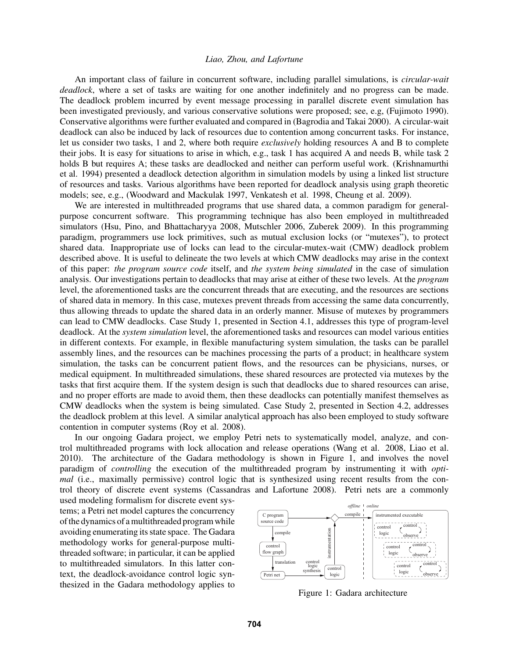An important class of failure in concurrent software, including parallel simulations, is *circular-wait deadlock*, where a set of tasks are waiting for one another indefinitely and no progress can be made. The deadlock problem incurred by event message processing in parallel discrete event simulation has been investigated previously, and various conservative solutions were proposed; see, e.g, (Fujimoto 1990). Conservative algorithms were further evaluated and compared in (Bagrodia and Takai 2000). A circular-wait deadlock can also be induced by lack of resources due to contention among concurrent tasks. For instance, let us consider two tasks, 1 and 2, where both require *exclusively* holding resources A and B to complete their jobs. It is easy for situations to arise in which, e.g., task 1 has acquired A and needs B, while task 2 holds B but requires A; these tasks are deadlocked and neither can perform useful work. (Krishnamurthi et al. 1994) presented a deadlock detection algorithm in simulation models by using a linked list structure of resources and tasks. Various algorithms have been reported for deadlock analysis using graph theoretic models; see, e.g., (Woodward and Mackulak 1997, Venkatesh et al. 1998, Cheung et al. 2009).

We are interested in multithreaded programs that use shared data, a common paradigm for generalpurpose concurrent software. This programming technique has also been employed in multithreaded simulators (Hsu, Pino, and Bhattacharyya 2008, Mutschler 2006, Zuberek 2009). In this programming paradigm, programmers use lock primitives, such as mutual exclusion locks (or "mutexes"), to protect shared data. Inappropriate use of locks can lead to the circular-mutex-wait (CMW) deadlock problem described above. It is useful to delineate the two levels at which CMW deadlocks may arise in the context of this paper: *the program source code* itself, and *the system being simulated* in the case of simulation analysis. Our investigations pertain to deadlocks that may arise at either of these two levels. At the *program* level, the aforementioned tasks are the concurrent threads that are executing, and the resources are sections of shared data in memory. In this case, mutexes prevent threads from accessing the same data concurrently, thus allowing threads to update the shared data in an orderly manner. Misuse of mutexes by programmers can lead to CMW deadlocks. Case Study 1, presented in Section 4.1, addresses this type of program-level deadlock. At the *system simulation* level, the aforementioned tasks and resources can model various entities in different contexts. For example, in flexible manufacturing system simulation, the tasks can be parallel assembly lines, and the resources can be machines processing the parts of a product; in healthcare system simulation, the tasks can be concurrent patient flows, and the resources can be physicians, nurses, or medical equipment. In multithreaded simulations, these shared resources are protected via mutexes by the tasks that first acquire them. If the system design is such that deadlocks due to shared resources can arise, and no proper efforts are made to avoid them, then these deadlocks can potentially manifest themselves as CMW deadlocks when the system is being simulated. Case Study 2, presented in Section 4.2, addresses the deadlock problem at this level. A similar analytical approach has also been employed to study software contention in computer systems (Roy et al. 2008).

In our ongoing Gadara project, we employ Petri nets to systematically model, analyze, and control multithreaded programs with lock allocation and release operations (Wang et al. 2008, Liao et al. 2010). The architecture of the Gadara methodology is shown in Figure 1, and involves the novel paradigm of *controlling* the execution of the multithreaded program by instrumenting it with *optimal* (i.e., maximally permissive) control logic that is synthesized using recent results from the control theory of discrete event systems (Cassandras and Lafortune 2008). Petri nets are a commonly

used modeling formalism for discrete event systems; a Petri net model captures the concurrency of the dynamics of a multithreaded program while avoiding enumerating its state space. The Gadara methodology works for general-purpose multithreaded software; in particular, it can be applied to multithreaded simulators. In this latter context, the deadlock-avoidance control logic synthesized in the Gadara methodology applies to



Figure 1: Gadara architecture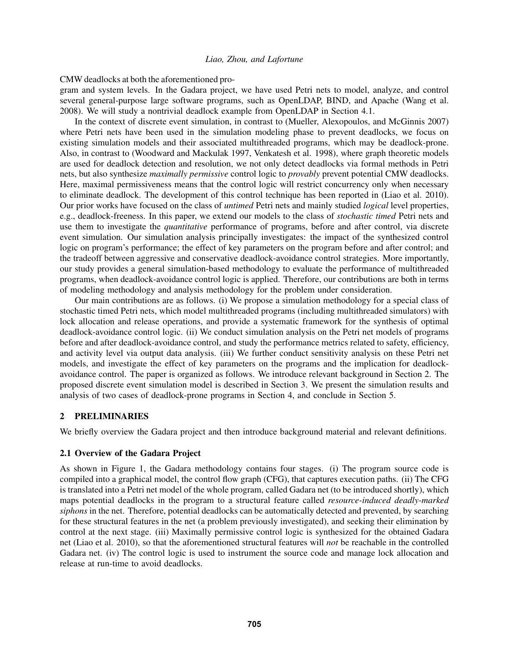CMW deadlocks at both the aforementioned pro-

gram and system levels. In the Gadara project, we have used Petri nets to model, analyze, and control several general-purpose large software programs, such as OpenLDAP, BIND, and Apache (Wang et al. 2008). We will study a nontrivial deadlock example from OpenLDAP in Section 4.1.

In the context of discrete event simulation, in contrast to (Mueller, Alexopoulos, and McGinnis 2007) where Petri nets have been used in the simulation modeling phase to prevent deadlocks, we focus on existing simulation models and their associated multithreaded programs, which may be deadlock-prone. Also, in contrast to (Woodward and Mackulak 1997, Venkatesh et al. 1998), where graph theoretic models are used for deadlock detection and resolution, we not only detect deadlocks via formal methods in Petri nets, but also synthesize *maximally permissive* control logic to *provably* prevent potential CMW deadlocks. Here, maximal permissiveness means that the control logic will restrict concurrency only when necessary to eliminate deadlock. The development of this control technique has been reported in (Liao et al. 2010). Our prior works have focused on the class of *untimed* Petri nets and mainly studied *logical* level properties, e.g., deadlock-freeness. In this paper, we extend our models to the class of *stochastic timed* Petri nets and use them to investigate the *quantitative* performance of programs, before and after control, via discrete event simulation. Our simulation analysis principally investigates: the impact of the synthesized control logic on program's performance; the effect of key parameters on the program before and after control; and the tradeoff between aggressive and conservative deadlock-avoidance control strategies. More importantly, our study provides a general simulation-based methodology to evaluate the performance of multithreaded programs, when deadlock-avoidance control logic is applied. Therefore, our contributions are both in terms of modeling methodology and analysis methodology for the problem under consideration.

Our main contributions are as follows. (i) We propose a simulation methodology for a special class of stochastic timed Petri nets, which model multithreaded programs (including multithreaded simulators) with lock allocation and release operations, and provide a systematic framework for the synthesis of optimal deadlock-avoidance control logic. (ii) We conduct simulation analysis on the Petri net models of programs before and after deadlock-avoidance control, and study the performance metrics related to safety, efficiency, and activity level via output data analysis. (iii) We further conduct sensitivity analysis on these Petri net models, and investigate the effect of key parameters on the programs and the implication for deadlockavoidance control. The paper is organized as follows. We introduce relevant background in Section 2. The proposed discrete event simulation model is described in Section 3. We present the simulation results and analysis of two cases of deadlock-prone programs in Section 4, and conclude in Section 5.

# 2 PRELIMINARIES

We briefly overview the Gadara project and then introduce background material and relevant definitions.

# 2.1 Overview of the Gadara Project

As shown in Figure 1, the Gadara methodology contains four stages. (i) The program source code is compiled into a graphical model, the control flow graph (CFG), that captures execution paths. (ii) The CFG is translated into a Petri net model of the whole program, called Gadara net (to be introduced shortly), which maps potential deadlocks in the program to a structural feature called *resource-induced deadly-marked siphons* in the net. Therefore, potential deadlocks can be automatically detected and prevented, by searching for these structural features in the net (a problem previously investigated), and seeking their elimination by control at the next stage. (iii) Maximally permissive control logic is synthesized for the obtained Gadara net (Liao et al. 2010), so that the aforementioned structural features will *not* be reachable in the controlled Gadara net. (iv) The control logic is used to instrument the source code and manage lock allocation and release at run-time to avoid deadlocks.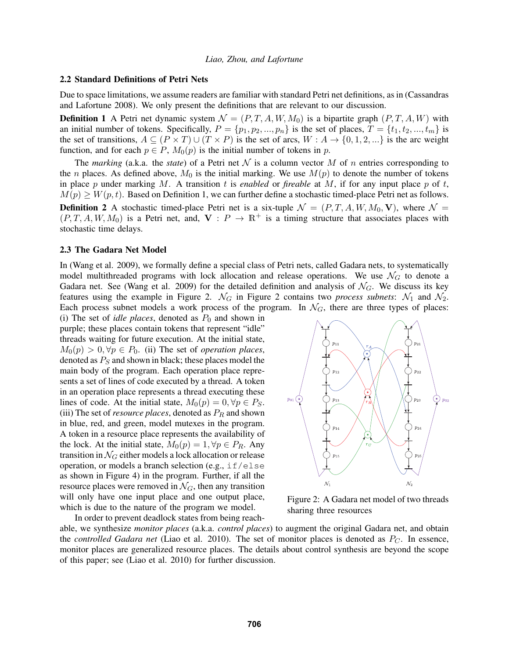#### 2.2 Standard Definitions of Petri Nets

Due to space limitations, we assume readers are familiar with standard Petri net definitions, as in (Cassandras and Lafortune 2008). We only present the definitions that are relevant to our discussion.

**Definition 1** A Petri net dynamic system  $\mathcal{N} = (P, T, A, W, M_0)$  is a bipartite graph  $(P, T, A, W)$  with an initial number of tokens. Specifically,  $P = \{p_1, p_2, ..., p_n\}$  is the set of places,  $T = \{t_1, t_2, ..., t_m\}$  is the set of transitions,  $A \subseteq (P \times T) \cup (T \times P)$  is the set of arcs,  $W : A \rightarrow \{0, 1, 2, ...\}$  is the arc weight function, and for each  $p \in P$ ,  $M_0(p)$  is the initial number of tokens in p.

The *marking* (a.k.a. the *state*) of a Petri net  $N$  is a column vector M of n entries corresponding to the *n* places. As defined above,  $M_0$  is the initial marking. We use  $M(p)$  to denote the number of tokens in place p under marking M. A transition  $t$  is *enabled* or *fireable* at  $M$ , if for any input place  $p$  of  $t$ ,  $M(p) \geq W(p, t)$ . Based on Definition 1, we can further define a stochastic timed-place Petri net as follows. **Definition 2** A stochastic timed-place Petri net is a six-tuple  $\mathcal{N} = (P, T, A, W, M_0, V)$ , where  $\mathcal{N} =$  $(P, T, A, W, M_0)$  is a Petri net, and,  $V : P \to \mathbb{R}^+$  is a timing structure that associates places with stochastic time delays.

#### 2.3 The Gadara Net Model

In (Wang et al. 2009), we formally define a special class of Petri nets, called Gadara nets, to systematically model multithreaded programs with lock allocation and release operations. We use  $\mathcal{N}_G$  to denote a Gadara net. See (Wang et al. 2009) for the detailed definition and analysis of  $\mathcal{N}_G$ . We discuss its key features using the example in Figure 2.  $\mathcal{N}_G$  in Figure 2 contains two *process subnets*:  $\mathcal{N}_1$  and  $\mathcal{N}_2$ . Each process subnet models a work process of the program. In  $\mathcal{N}_G$ , there are three types of places:

(i) The set of *idle places*, denoted as  $P_0$  and shown in purple; these places contain tokens that represent "idle" threads waiting for future execution. At the initial state,  $M_0(p) > 0, \forall p \in P_0$ . (ii) The set of *operation places*, denoted as  $P<sub>S</sub>$  and shown in black; these places model the main body of the program. Each operation place represents a set of lines of code executed by a thread. A token in an operation place represents a thread executing these lines of code. At the initial state,  $M_0(p) = 0, \forall p \in P_S$ . (iii) The set of *resource places*, denoted as  $P_R$  and shown in blue, red, and green, model mutexes in the program. A token in a resource place represents the availability of the lock. At the initial state,  $M_0(p) = 1, \forall p \in P_R$ . Any transition in  $\mathcal{N}_G$  either models a lock allocation or release operation, or models a branch selection (e.g.,  $if/else$ as shown in Figure 4) in the program. Further, if all the resource places were removed in  $\mathcal{N}_G$ , then any transition will only have one input place and one output place, which is due to the nature of the program we model. In order to prevent deadlock states from being reach-



Figure 2: A Gadara net model of two threads sharing three resources

able, we synthesize *monitor places* (a.k.a. *control places*) to augment the original Gadara net, and obtain the *controlled Gadara net* (Liao et al. 2010). The set of monitor places is denoted as  $P_C$ . In essence, monitor places are generalized resource places. The details about control synthesis are beyond the scope of this paper; see (Liao et al. 2010) for further discussion.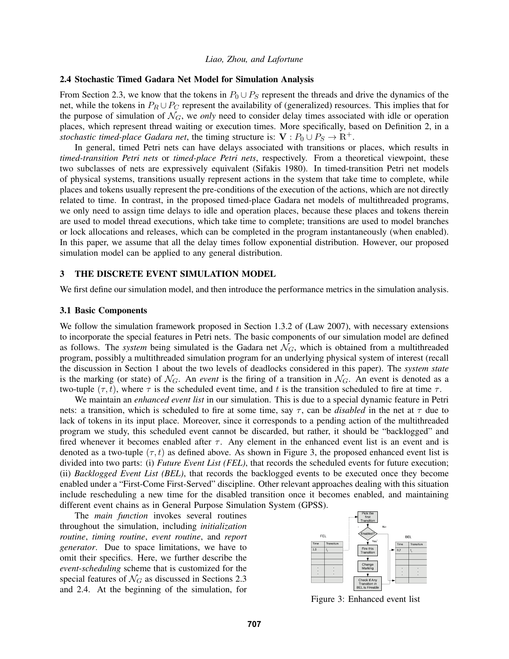#### 2.4 Stochastic Timed Gadara Net Model for Simulation Analysis

From Section 2.3, we know that the tokens in  $P_0 \cup P_S$  represent the threads and drive the dynamics of the net, while the tokens in  $P_R \cup P_C$  represent the availability of (generalized) resources. This implies that for the purpose of simulation of  $\mathcal{N}_G$ , we *only* need to consider delay times associated with idle or operation places, which represent thread waiting or execution times. More specifically, based on Definition 2, in a *stochastic timed-place Gadara net*, the timing structure is:  $V : P_0 \cup P_S \rightarrow \mathbb{R}^+$ .

In general, timed Petri nets can have delays associated with transitions or places, which results in *timed-transition Petri nets* or *timed-place Petri nets*, respectively. From a theoretical viewpoint, these two subclasses of nets are expressively equivalent (Sifakis 1980). In timed-transition Petri net models of physical systems, transitions usually represent actions in the system that take time to complete, while places and tokens usually represent the pre-conditions of the execution of the actions, which are not directly related to time. In contrast, in the proposed timed-place Gadara net models of multithreaded programs, we only need to assign time delays to idle and operation places, because these places and tokens therein are used to model thread executions, which take time to complete; transitions are used to model branches or lock allocations and releases, which can be completed in the program instantaneously (when enabled). In this paper, we assume that all the delay times follow exponential distribution. However, our proposed simulation model can be applied to any general distribution.

# 3 THE DISCRETE EVENT SIMULATION MODEL

We first define our simulation model, and then introduce the performance metrics in the simulation analysis.

#### 3.1 Basic Components

We follow the simulation framework proposed in Section 1.3.2 of (Law 2007), with necessary extensions to incorporate the special features in Petri nets. The basic components of our simulation model are defined as follows. The *system* being simulated is the Gadara net  $\mathcal{N}_G$ , which is obtained from a multithreaded program, possibly a multithreaded simulation program for an underlying physical system of interest (recall the discussion in Section 1 about the two levels of deadlocks considered in this paper). The *system state* is the marking (or state) of  $\mathcal{N}_G$ . An *event* is the firing of a transition in  $\mathcal{N}_G$ . An event is denoted as a two-tuple  $(\tau, t)$ , where  $\tau$  is the scheduled event time, and t is the transition scheduled to fire at time  $\tau$ .

We maintain an *enhanced event list* in our simulation. This is due to a special dynamic feature in Petri nets: a transition, which is scheduled to fire at some time, say  $\tau$ , can be *disabled* in the net at  $\tau$  due to lack of tokens in its input place. Moreover, since it corresponds to a pending action of the multithreaded program we study, this scheduled event cannot be discarded, but rather, it should be "backlogged" and fired whenever it becomes enabled after  $\tau$ . Any element in the enhanced event list is an event and is denoted as a two-tuple  $(\tau, t)$  as defined above. As shown in Figure 3, the proposed enhanced event list is divided into two parts: (i) *Future Event List (FEL)*, that records the scheduled events for future execution; (ii) *Backlogged Event List (BEL)*, that records the backlogged events to be executed once they become enabled under a "First-Come First-Served" discipline. Other relevant approaches dealing with this situation include rescheduling a new time for the disabled transition once it becomes enabled, and maintaining different event chains as in General Purpose Simulation System (GPSS).

The *main function* invokes several routines throughout the simulation, including *initialization routine*, *timing routine*, *event routine*, and *report generator*. Due to space limitations, we have to omit their specifics. Here, we further describe the *event-scheduling* scheme that is customized for the special features of  $\mathcal{N}_G$  as discussed in Sections 2.3 and 2.4. At the beginning of the simulation, for



Figure 3: Enhanced event list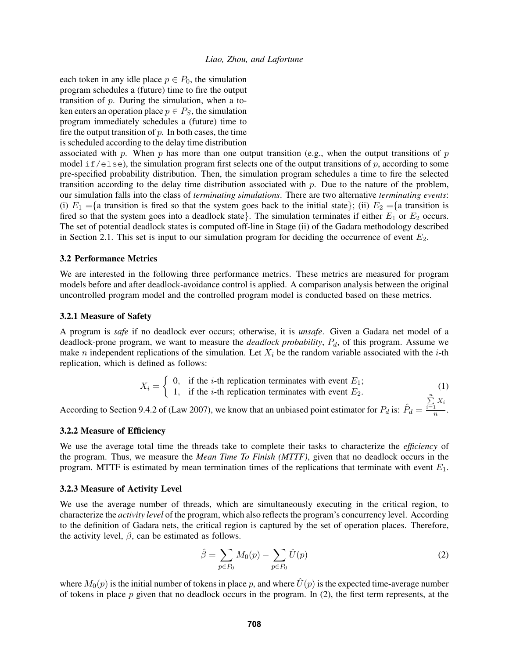each token in any idle place  $p \in P_0$ , the simulation program schedules a (future) time to fire the output transition of  $p$ . During the simulation, when a token enters an operation place  $p \in P_S$ , the simulation program immediately schedules a (future) time to fire the output transition of  $p$ . In both cases, the time is scheduled according to the delay time distribution

associated with p. When p has more than one output transition (e.g., when the output transitions of p model if/else), the simulation program first selects one of the output transitions of p, according to some pre-specified probability distribution. Then, the simulation program schedules a time to fire the selected transition according to the delay time distribution associated with  $p$ . Due to the nature of the problem, our simulation falls into the class of *terminating simulations*. There are two alternative *terminating events*: (i)  $E_1 = \{$ a transition is fired so that the system goes back to the initial state}; (ii)  $E_2 = \{$ a transition is fired so that the system goes into a deadlock state}. The simulation terminates if either  $E_1$  or  $E_2$  occurs. The set of potential deadlock states is computed off-line in Stage (ii) of the Gadara methodology described in Section 2.1. This set is input to our simulation program for deciding the occurrence of event  $E_2$ .

#### 3.2 Performance Metrics

We are interested in the following three performance metrics. These metrics are measured for program models before and after deadlock-avoidance control is applied. A comparison analysis between the original uncontrolled program model and the controlled program model is conducted based on these metrics.

### 3.2.1 Measure of Safety

A program is *safe* if no deadlock ever occurs; otherwise, it is *unsafe*. Given a Gadara net model of a deadlock-prone program, we want to measure the *deadlock probability*,  $P_d$ , of this program. Assume we make *n* independent replications of the simulation. Let  $X_i$  be the random variable associated with the *i*-th replication, which is defined as follows:

$$
X_i = \begin{cases} 0, & \text{if the } i\text{-th replication terminates with event } E_1; \\ 1, & \text{if the } i\text{-th replication terminates with event } E_2. \end{cases}
$$
 (1)  
0.4.2 of (1, we know that an unbiased point estimator for P, is:  $\hat{P}_1 = \sum_{i=1}^{n} X_i$ 

According to Section 9.4.2 of (Law 2007), we know that an unbiased point estimator for  $P_d$  is:  $\hat{P}_d$  =  $\frac{1}{n}$ .

#### 3.2.2 Measure of Efficiency

We use the average total time the threads take to complete their tasks to characterize the *efficiency* of the program. Thus, we measure the *Mean Time To Finish (MTTF)*, given that no deadlock occurs in the program. MTTF is estimated by mean termination times of the replications that terminate with event  $E_1$ .

#### 3.2.3 Measure of Activity Level

We use the average number of threads, which are simultaneously executing in the critical region, to characterize the *activity level* of the program, which also reflects the program's concurrency level. According to the definition of Gadara nets, the critical region is captured by the set of operation places. Therefore, the activity level,  $\beta$ , can be estimated as follows.

$$
\hat{\beta} = \sum_{p \in P_0} M_0(p) - \sum_{p \in P_0} \hat{U}(p)
$$
\n(2)

where  $M_0(p)$  is the initial number of tokens in place p, and where  $\hat{U}(p)$  is the expected time-average number of tokens in place  $p$  given that no deadlock occurs in the program. In (2), the first term represents, at the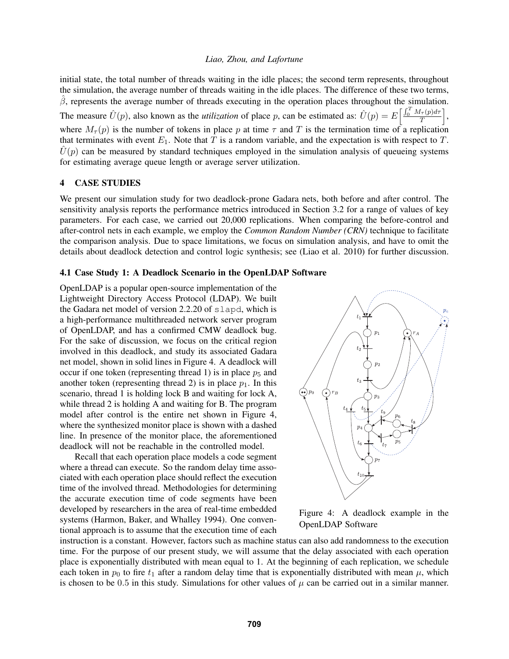initial state, the total number of threads waiting in the idle places; the second term represents, throughout the simulation, the average number of threads waiting in the idle places. The difference of these two terms,  $\hat{\beta}$ , represents the average number of threads executing in the operation places throughout the simulation. The measure  $\hat{U}(p)$ , also known as the *utilization* of place p, can be estimated as:  $\hat{U}(p) = E\left[\frac{\int_0^T M_{\tau}(p)d\tau}{T}\right]$ , where  $M_{\tau}(p)$  is the number of tokens in place p at time  $\tau$  and T is the termination time of a replication that terminates with event  $E_1$ . Note that  $T$  is a random variable, and the expectation is with respect to  $T$ .  $\hat{U}(p)$  can be measured by standard techniques employed in the simulation analysis of queueing systems for estimating average queue length or average server utilization.

# 4 CASE STUDIES

We present our simulation study for two deadlock-prone Gadara nets, both before and after control. The sensitivity analysis reports the performance metrics introduced in Section 3.2 for a range of values of key parameters. For each case, we carried out 20,000 replications. When comparing the before-control and after-control nets in each example, we employ the *Common Random Number (CRN)* technique to facilitate the comparison analysis. Due to space limitations, we focus on simulation analysis, and have to omit the details about deadlock detection and control logic synthesis; see (Liao et al. 2010) for further discussion.

### 4.1 Case Study 1: A Deadlock Scenario in the OpenLDAP Software

OpenLDAP is a popular open-source implementation of the Lightweight Directory Access Protocol (LDAP). We built the Gadara net model of version 2.2.20 of slapd, which is a high-performance multithreaded network server program of OpenLDAP, and has a confirmed CMW deadlock bug. For the sake of discussion, we focus on the critical region involved in this deadlock, and study its associated Gadara net model, shown in solid lines in Figure 4. A deadlock will occur if one token (representing thread 1) is in place  $p_5$  and another token (representing thread 2) is in place  $p_1$ . In this scenario, thread 1 is holding lock B and waiting for lock A, while thread 2 is holding A and waiting for B. The program model after control is the entire net shown in Figure 4, where the synthesized monitor place is shown with a dashed line. In presence of the monitor place, the aforementioned deadlock will not be reachable in the controlled model.

Recall that each operation place models a code segment where a thread can execute. So the random delay time associated with each operation place should reflect the execution time of the involved thread. Methodologies for determining the accurate execution time of code segments have been developed by researchers in the area of real-time embedded systems (Harmon, Baker, and Whalley 1994). One conventional approach is to assume that the execution time of each



Figure 4: A deadlock example in the OpenLDAP Software

instruction is a constant. However, factors such as machine status can also add randomness to the execution time. For the purpose of our present study, we will assume that the delay associated with each operation place is exponentially distributed with mean equal to 1. At the beginning of each replication, we schedule each token in  $p_0$  to fire  $t_1$  after a random delay time that is exponentially distributed with mean  $\mu$ , which is chosen to be 0.5 in this study. Simulations for other values of  $\mu$  can be carried out in a similar manner.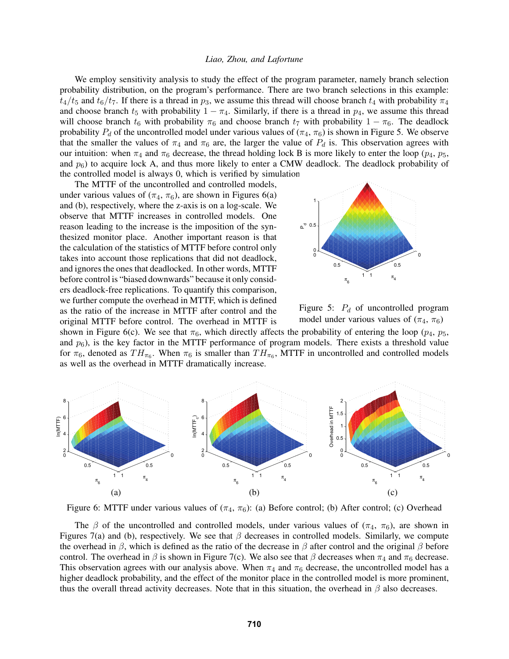We employ sensitivity analysis to study the effect of the program parameter, namely branch selection probability distribution, on the program's performance. There are two branch selections in this example:  $t_4/t_5$  and  $t_6/t_7$ . If there is a thread in  $p_3$ , we assume this thread will choose branch  $t_4$  with probability  $\pi_4$ and choose branch  $t_5$  with probability  $1 - \pi_4$ . Similarly, if there is a thread in  $p_4$ , we assume this thread will choose branch  $t_6$  with probability  $\pi_6$  and choose branch  $t_7$  with probability  $1 - \pi_6$ . The deadlock probability  $P_d$  of the uncontrolled model under various values of ( $\pi_4$ ,  $\pi_6$ ) is shown in Figure 5. We observe that the smaller the values of  $\pi_4$  and  $\pi_6$  are, the larger the value of  $P_d$  is. This observation agrees with our intuition: when  $\pi_4$  and  $\pi_6$  decrease, the thread holding lock B is more likely to enter the loop ( $p_4$ ,  $p_5$ , and  $p_6$ ) to acquire lock A, and thus more likely to enter a CMW deadlock. The deadlock probability of the controlled model is always 0, which is verified by simulation.

The MTTF of the uncontrolled and controlled models, under various values of  $(\pi_4, \pi_6)$ , are shown in Figures 6(a) and (b), respectively, where the z-axis is on a log-scale. We observe that MTTF increases in controlled models. One reason leading to the increase is the imposition of the synthesized monitor place. Another important reason is that the calculation of the statistics of MTTF before control only takes into account those replications that did not deadlock, and ignores the ones that deadlocked. In other words, MTTF before control is "biased downwards" because it only considers deadlock-free replications. To quantify this comparison, we further compute the overhead in MTTF, which is defined as the ratio of the increase in MTTF after control and the original MTTF before control. The overhead in MTTF is





shown in Figure 6(c). We see that  $\pi_6$ , which directly affects the probability of entering the loop ( $p_4$ ,  $p_5$ , and  $p_6$ ), is the key factor in the MTTF performance of program models. There exists a threshold value for  $\pi_6$ , denoted as  $TH_{\pi_6}$ . When  $\pi_6$  is smaller than  $TH_{\pi_6}$ , MTTF in uncontrolled and controlled models as well as the overhead in MTTF dramatically increase.



Figure 6: MTTF under various values of  $(\pi_4, \pi_6)$ : (a) Before control; (b) After control; (c) Overhead

The  $\beta$  of the uncontrolled and controlled models, under various values of  $(\pi_4, \pi_6)$ , are shown in Figures 7(a) and (b), respectively. We see that  $\beta$  decreases in controlled models. Similarly, we compute the overhead in  $\beta$ , which is defined as the ratio of the decrease in  $\beta$  after control and the original  $\beta$  before control. The overhead in  $\beta$  is shown in Figure 7(c). We also see that  $\beta$  decreases when  $\pi_4$  and  $\pi_6$  decrease. This observation agrees with our analysis above. When  $\pi_4$  and  $\pi_6$  decrease, the uncontrolled model has a higher deadlock probability, and the effect of the monitor place in the controlled model is more prominent, thus the overall thread activity decreases. Note that in this situation, the overhead in  $\beta$  also decreases.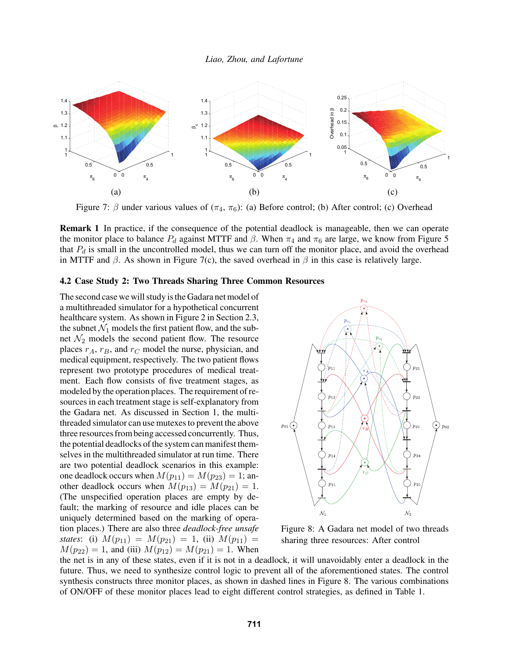

Figure 7:  $\beta$  under various values of  $(\pi_4, \pi_6)$ : (a) Before control; (b) After control; (c) Overhead

Remark 1 In practice, if the consequence of the potential deadlock is manageable, then we can operate the monitor place to balance  $P_d$  against MTTF and  $\beta$ . When  $\pi_4$  and  $\pi_6$  are large, we know from Figure 5 that  $P_d$  is small in the uncontrolled model, thus we can turn off the monitor place, and avoid the overhead in MTTF and  $\beta$ . As shown in Figure 7(c), the saved overhead in  $\beta$  in this case is relatively large.

#### 4.2 Case Study 2: Two Threads Sharing Three Common Resources

The second case we will study is the Gadara net model of a multithreaded simulator for a hypothetical concurrent healthcare system. As shown in Figure 2 in Section 2.3, the subnet  $\mathcal{N}_1$  models the first patient flow, and the subnet  $\mathcal{N}_2$  models the second patient flow. The resource places  $r_A$ ,  $r_B$ , and  $r_C$  model the nurse, physician, and medical equipment, respectively. The two patient flows represent two prototype procedures of medical treatment. Each flow consists of five treatment stages, as modeled by the operation places. The requirement of resources in each treatment stage is self-explanatory from the Gadara net. As discussed in Section 1, the multithreaded simulator can use mutexes to prevent the above three resources from being accessed concurrently. Thus, the potential deadlocks of the system can manifest themselves in the multithreaded simulator at run time. There are two potential deadlock scenarios in this example: one deadlock occurs when  $M(p_{11}) = M(p_{23}) = 1$ ; another deadlock occurs when  $M(p_{13}) = M(p_{21}) = 1$ . (The unspecified operation places are empty by default; the marking of resource and idle places can be uniquely determined based on the marking of operation places.) There are also three *deadlock-free unsafe states*: (i)  $M(p_{11}) = M(p_{21}) = 1$ , (ii)  $M(p_{11}) =$  $M(p_{22}) = 1$ , and (iii)  $M(p_{12}) = M(p_{21}) = 1$ . When



Figure 8: A Gadara net model of two threads sharing three resources: After control

the net is in any of these states, even if it is not in a deadlock, it will unavoidably enter a deadlock in the future. Thus, we need to synthesize control logic to prevent all of the aforementioned states. The control synthesis constructs three monitor places, as shown in dashed lines in Figure 8. The various combinations of ON/OFF of these monitor places lead to eight different control strategies, as defined in Table 1.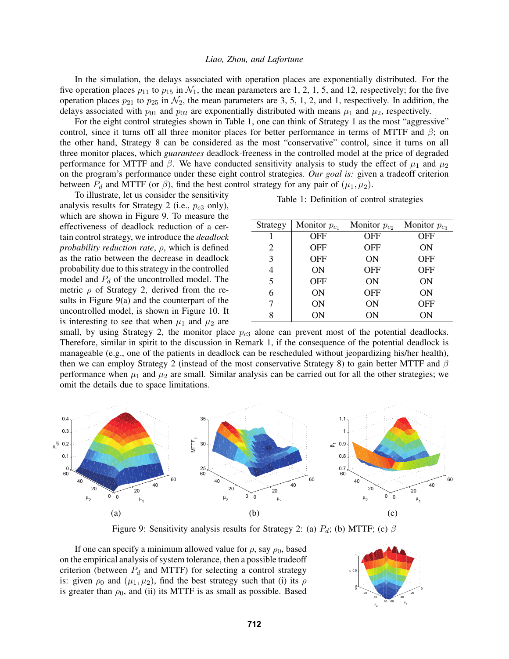In the simulation, the delays associated with operation places are exponentially distributed. For the five operation places  $p_{11}$  to  $p_{15}$  in  $\mathcal{N}_1$ , the mean parameters are 1, 2, 1, 5, and 12, respectively; for the five operation places  $p_{21}$  to  $p_{25}$  in  $\mathcal{N}_2$ , the mean parameters are 3, 5, 1, 2, and 1, respectively. In addition, the delays associated with  $p_{01}$  and  $p_{02}$  are exponentially distributed with means  $\mu_1$  and  $\mu_2$ , respectively.

For the eight control strategies shown in Table 1, one can think of Strategy 1 as the most "aggressive" control, since it turns off all three monitor places for better performance in terms of MTTF and  $\beta$ ; on the other hand, Strategy 8 can be considered as the most "conservative" control, since it turns on all three monitor places, which *guarantees* deadlock-freeness in the controlled model at the price of degraded performance for MTTF and  $\beta$ . We have conducted sensitivity analysis to study the effect of  $\mu_1$  and  $\mu_2$ on the program's performance under these eight control strategies. *Our goal is:* given a tradeoff criterion between  $P_d$  and MTTF (or  $\beta$ ), find the best control strategy for any pair of  $(\mu_1, \mu_2)$ .

To illustrate, let us consider the sensitivity analysis results for Strategy 2 (i.e.,  $p_{c3}$  only), which are shown in Figure 9. To measure the effectiveness of deadlock reduction of a certain control strategy, we introduce the *deadlock probability reduction rate*, ρ, which is defined as the ratio between the decrease in deadlock probability due to this strategy in the controlled model and  $P_d$  of the uncontrolled model. The metric  $\rho$  of Strategy 2, derived from the results in Figure 9(a) and the counterpart of the uncontrolled model, is shown in Figure 10. It is interesting to see that when  $\mu_1$  and  $\mu_2$  are

Table 1: Definition of control strategies

| Strategy | Monitor $p_{c_1}$ | Monitor $p_{c2}$ | Monitor $p_{c3}$ |
|----------|-------------------|------------------|------------------|
|          | OFF               | OFF              | OFF              |
| 2        | OFF               | OFF              | ON               |
| 3        | <b>OFF</b>        | ON               | <b>OFF</b>       |
|          | ON                | OFF              | <b>OFF</b>       |
| 5        | OFF               | ON               | ON               |
| 6        | ON                | OFF              | ON               |
| 7        | ON                | ON               | <b>OFF</b>       |
| 8        | ON                | ΟN               | ΟN               |

small, by using Strategy 2, the monitor place  $p_{c3}$  alone can prevent most of the potential deadlocks. Therefore, similar in spirit to the discussion in Remark 1, if the consequence of the potential deadlock is manageable (e.g., one of the patients in deadlock can be rescheduled without jeopardizing his/her health), then we can employ Strategy 2 (instead of the most conservative Strategy 8) to gain better MTTF and  $\beta$ performance when  $\mu_1$  and  $\mu_2$  are small. Similar analysis can be carried out for all the other strategies; we omit the details due to space limitations.



Figure 9: Sensitivity analysis results for Strategy 2: (a)  $P_d$ ; (b) MTTF; (c)  $\beta$ 

If one can specify a minimum allowed value for  $\rho$ , say  $\rho_0$ , based on the empirical analysis of system tolerance, then a possible tradeoff criterion (between  $P_d$  and MTTF) for selecting a control strategy is: given  $\rho_0$  and  $(\mu_1, \mu_2)$ , find the best strategy such that (i) its  $\rho$ is greater than  $\rho_0$ , and (ii) its MTTF is as small as possible. Based

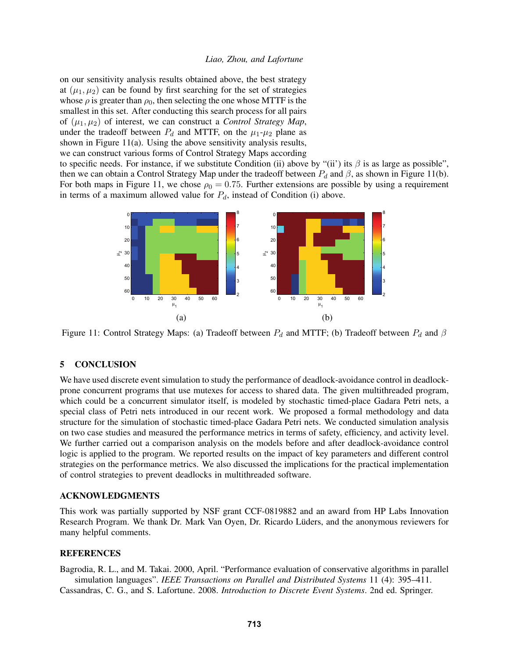on our sensitivity analysis results obtained above, the best strategy at  $(\mu_1, \mu_2)$  can be found by first searching for the set of strategies whose  $\rho$  is greater than  $\rho_0$ , then selecting the one whose MTTF is the smallest in this set. After conducting this search process for all pairs of  $(\mu_1, \mu_2)$  of interest, we can construct a *Control Strategy Map*, under the tradeoff between  $P_d$  and MTTF, on the  $\mu_1$ - $\mu_2$  plane as shown in Figure 11(a). Using the above sensitivity analysis results, we can construct various forms of Control Strategy Maps according

to specific needs. For instance, if we substitute Condition (ii) above by "(ii') its  $\beta$  is as large as possible", then we can obtain a Control Strategy Map under the tradeoff between  $P_d$  and  $\beta$ , as shown in Figure 11(b). For both maps in Figure 11, we chose  $\rho_0 = 0.75$ . Further extensions are possible by using a requirement in terms of a maximum allowed value for  $P_d$ , instead of Condition (i) above.



Figure 11: Control Strategy Maps: (a) Tradeoff between  $P_d$  and MTTF; (b) Tradeoff between  $P_d$  and  $\beta$ 

# 5 CONCLUSION

We have used discrete event simulation to study the performance of deadlock-avoidance control in deadlockprone concurrent programs that use mutexes for access to shared data. The given multithreaded program, which could be a concurrent simulator itself, is modeled by stochastic timed-place Gadara Petri nets, a special class of Petri nets introduced in our recent work. We proposed a formal methodology and data structure for the simulation of stochastic timed-place Gadara Petri nets. We conducted simulation analysis on two case studies and measured the performance metrics in terms of safety, efficiency, and activity level. We further carried out a comparison analysis on the models before and after deadlock-avoidance control logic is applied to the program. We reported results on the impact of key parameters and different control strategies on the performance metrics. We also discussed the implications for the practical implementation of control strategies to prevent deadlocks in multithreaded software.

# ACKNOWLEDGMENTS

This work was partially supported by NSF grant CCF-0819882 and an award from HP Labs Innovation Research Program. We thank Dr. Mark Van Oyen, Dr. Ricardo Lüders, and the anonymous reviewers for many helpful comments.

# **REFERENCES**

Bagrodia, R. L., and M. Takai. 2000, April. "Performance evaluation of conservative algorithms in parallel simulation languages". *IEEE Transactions on Parallel and Distributed Systems* 11 (4): 395–411. Cassandras, C. G., and S. Lafortune. 2008. *Introduction to Discrete Event Systems*. 2nd ed. Springer.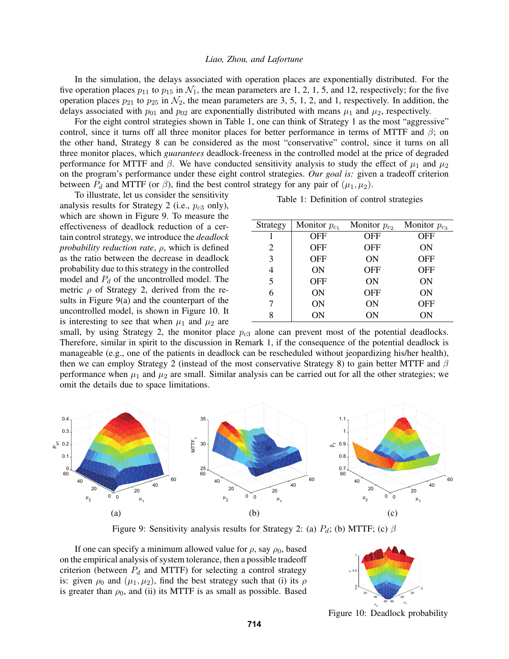In the simulation, the delays associated with operation places are exponentially distributed. For the five operation places  $p_{11}$  to  $p_{15}$  in  $\mathcal{N}_1$ , the mean parameters are 1, 2, 1, 5, and 12, respectively; for the five operation places  $p_{21}$  to  $p_{25}$  in  $\mathcal{N}_2$ , the mean parameters are 3, 5, 1, 2, and 1, respectively. In addition, the delays associated with  $p_{01}$  and  $p_{02}$  are exponentially distributed with means  $\mu_1$  and  $\mu_2$ , respectively.

For the eight control strategies shown in Table 1, one can think of Strategy 1 as the most "aggressive" control, since it turns off all three monitor places for better performance in terms of MTTF and  $\beta$ ; on the other hand, Strategy 8 can be considered as the most "conservative" control, since it turns on all three monitor places, which *guarantees* deadlock-freeness in the controlled model at the price of degraded performance for MTTF and  $\beta$ . We have conducted sensitivity analysis to study the effect of  $\mu_1$  and  $\mu_2$ on the program's performance under these eight control strategies. *Our goal is:* given a tradeoff criterion between  $P_d$  and MTTF (or  $\beta$ ), find the best control strategy for any pair of  $(\mu_1, \mu_2)$ .

To illustrate, let us consider the sensitivity analysis results for Strategy 2 (i.e.,  $p_{c3}$  only), which are shown in Figure 9. To measure the effectiveness of deadlock reduction of a certain control strategy, we introduce the *deadlock probability reduction rate*, ρ, which is defined as the ratio between the decrease in deadlock probability due to this strategy in the controlled model and  $P_d$  of the uncontrolled model. The metric  $\rho$  of Strategy 2, derived from the results in Figure 9(a) and the counterpart of the uncontrolled model, is shown in Figure 10. It is interesting to see that when  $\mu_1$  and  $\mu_2$  are

Table 1: Definition of control strategies

| Strategy | Monitor $p_{c_1}$ | Monitor $p_{c2}$ | Monitor $p_{c3}$ |
|----------|-------------------|------------------|------------------|
|          | OFF               | OFF              | OFF              |
| 2        | <b>OFF</b>        | OFF              | ON               |
| 3        | <b>OFF</b>        | ON               | <b>OFF</b>       |
| 4        | ON                | OFF              | <b>OFF</b>       |
| 5        | <b>OFF</b>        | ON               | ON               |
| 6        | ON                | OFF              | ON               |
| 7        | ON                | ON               | <b>OFF</b>       |
| 8        | ΟN                | ΟN               | ΟN               |

small, by using Strategy 2, the monitor place  $p_{c3}$  alone can prevent most of the potential deadlocks. Therefore, similar in spirit to the discussion in Remark 1, if the consequence of the potential deadlock is manageable (e.g., one of the patients in deadlock can be rescheduled without jeopardizing his/her health), then we can employ Strategy 2 (instead of the most conservative Strategy 8) to gain better MTTF and  $\beta$ performance when  $\mu_1$  and  $\mu_2$  are small. Similar analysis can be carried out for all the other strategies; we omit the details due to space limitations.



Figure 9: Sensitivity analysis results for Strategy 2: (a)  $P_d$ ; (b) MTTF; (c)  $\beta$ 

If one can specify a minimum allowed value for  $\rho$ , say  $\rho_0$ , based on the empirical analysis of system tolerance, then a possible tradeoff criterion (between  $P_d$  and MTTF) for selecting a control strategy is: given  $\rho_0$  and  $(\mu_1, \mu_2)$ , find the best strategy such that (i) its  $\rho$ is greater than  $\rho_0$ , and (ii) its MTTF is as small as possible. Based



Figure 10: Deadlock probability